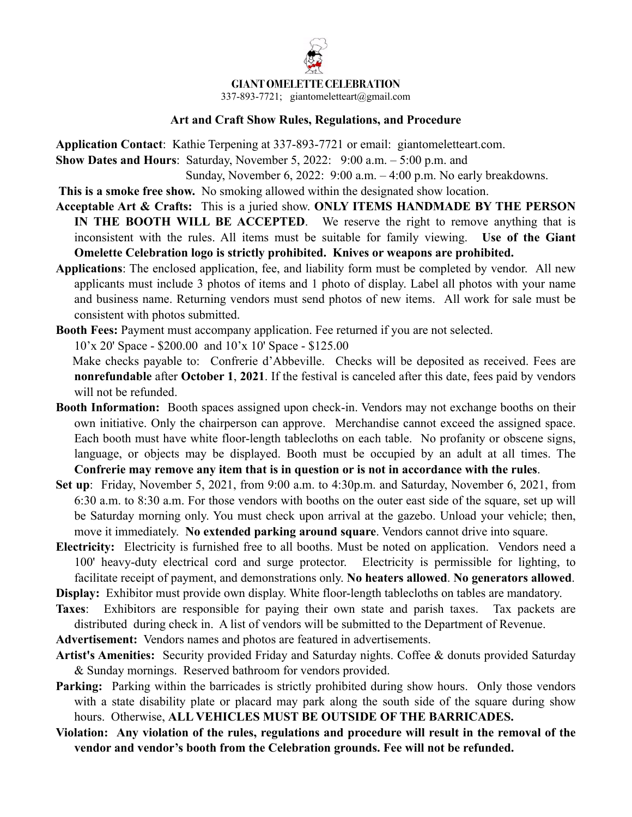## **GIANT OMELETTE CELEBRATION**

337-893-7721; giantomeletteart@gmail.com

## **Art and Craft Show Rules, Regulations, and Procedure**

**Application Contact**: Kathie Terpening at 337-893-7721 or email: giantomeletteart.com. **Show Dates and Hours**: Saturday, November 5, 2022: 9:00 a.m. – 5:00 p.m. and

Sunday, November 6, 2022: 9:00 a.m. – 4:00 p.m. No early breakdowns.

 **This is a smoke free show.** No smoking allowed within the designated show location.

- **Acceptable Art & Crafts:** This is a juried show. **ONLY ITEMS HANDMADE BY THE PERSON IN THE BOOTH WILL BE ACCEPTED**. We reserve the right to remove anything that is inconsistent with the rules. All items must be suitable for family viewing. **Use of the Giant Omelette Celebration logo is strictly prohibited. Knives or weapons are prohibited.**
- **Applications**: The enclosed application, fee, and liability form must be completed by vendor. All new applicants must include 3 photos of items and 1 photo of display. Label all photos with your name and business name. Returning vendors must send photos of new items. All work for sale must be consistent with photos submitted.

**Booth Fees:** Payment must accompany application. Fee returned if you are not selected.

10'x 20' Space - \$200.00 and 10'x 10' Space - \$125.00

 Make checks payable to: Confrerie d'Abbeville. Checks will be deposited as received. Fees are **nonrefundable** after **October 1**, **2021**. If the festival is canceled after this date, fees paid by vendors will not be refunded.

- **Booth Information:** Booth spaces assigned upon check-in. Vendors may not exchange booths on their own initiative. Only the chairperson can approve. Merchandise cannot exceed the assigned space. Each booth must have white floor-length tablecloths on each table. No profanity or obscene signs, language, or objects may be displayed. Booth must be occupied by an adult at all times. The **Confrerie may remove any item that is in question or is not in accordance with the rules**.
- **Set up**: Friday, November 5, 2021, from 9:00 a.m. to 4:30p.m. and Saturday, November 6, 2021, from 6:30 a.m. to 8:30 a.m. For those vendors with booths on the outer east side of the square, set up will be Saturday morning only. You must check upon arrival at the gazebo. Unload your vehicle; then, move it immediately. **No extended parking around square**. Vendors cannot drive into square.
- **Electricity:** Electricity is furnished free to all booths. Must be noted on application. Vendors need a 100' heavy-duty electrical cord and surge protector. Electricity is permissible for lighting, to facilitate receipt of payment, and demonstrations only. **No heaters allowed**. **No generators allowed**.

**Display:** Exhibitor must provide own display. White floor-length tablecloths on tables are mandatory.

**Taxes**: Exhibitors are responsible for paying their own state and parish taxes. Tax packets are distributed during check in. A list of vendors will be submitted to the Department of Revenue.

**Advertisement:** Vendors names and photos are featured in advertisements.

- **Artist's Amenities:** Security provided Friday and Saturday nights. Coffee & donuts provided Saturday & Sunday mornings. Reserved bathroom for vendors provided.
- **Parking:** Parking within the barricades is strictly prohibited during show hours. Only those vendors with a state disability plate or placard may park along the south side of the square during show hours. Otherwise, **ALL VEHICLES MUST BE OUTSIDE OF THE BARRICADES.**
- **Violation: Any violation of the rules, regulations and procedure will result in the removal of the vendor and vendor's booth from the Celebration grounds. Fee will not be refunded.**